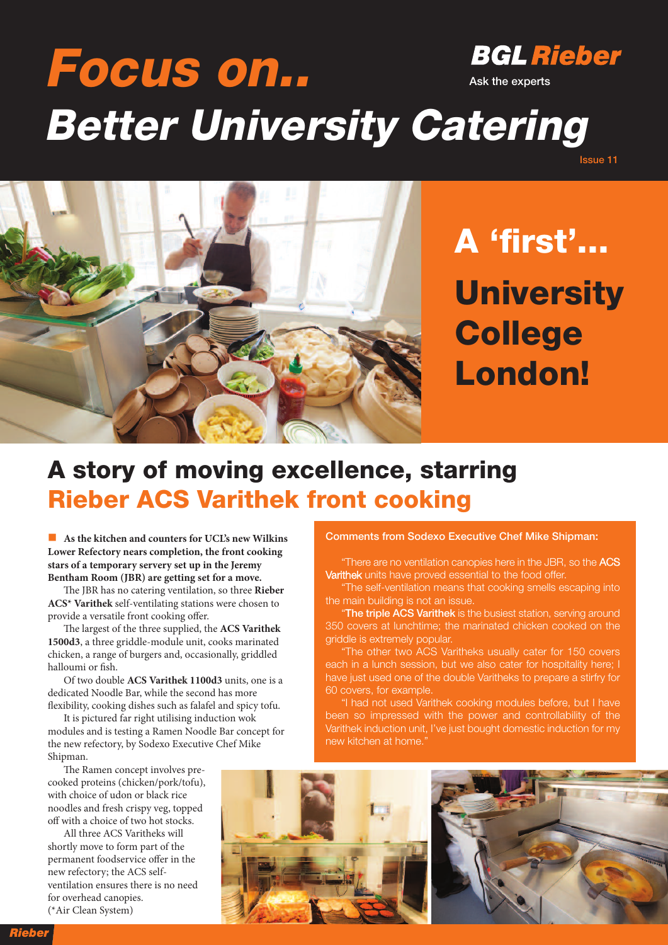## **BGL Rieber Focus on.. Ask the experts Better University Catering**



**A 'first' ... University College London!**

**Issue 11**

# **A story of moving excellence, starring Rieber ACS Varithek front cooking**

n **As the kitchen and counters for UCL's new Wilkins Lower Refectory nears completion, the front cooking stars of a temporary servery set up in the Jeremy Bentham Room (JBR) are getting set for a move.**

e JBR has no catering ventilation, so three **Rieber ACS\* Varithek** self-ventilating stations were chosen to provide a versatile front cooking offer.

The largest of the three supplied, the ACS Varithek **1500d3**, a three griddle-module unit, cooks marinated chicken, a range of burgers and, occasionally, griddled halloumi or fish.

Of two double **ACS Varithek 1100d3** units, one is a dedicated Noodle Bar, while the second has more flexibility, cooking dishes such as falafel and spicy tofu.

It is pictured far right utilising induction wok modules and is testing a Ramen Noodle Bar concept for the new refectory, by Sodexo Executive Chef Mike Shipman.

The Ramen concept involves precooked proteins (chicken/pork/tofu), with choice of udon or black rice noodles and fresh crispy veg, topped off with a choice of two hot stocks.

All three ACS Varitheks will shortly move to form part of the permanent foodservice offer in the new refectory; the ACS selfventilation ensures there is no need for overhead canopies. (\*Air Clean System)

#### **Comments from Sodexo Executive Chef Mike Shipman:**

"There are no ventilation canopies here in the JBR, so the ACS Varithek units have proved essential to the food offer.

"The self-ventilation means that cooking smells escaping into the main building is not an issue.

"**The triple ACS Varithek** is the busiest station, serving around 350 covers at lunchtime; the marinated chicken cooked on the griddle is extremely popular.

"The other two ACS Varitheks usually cater for 150 covers each in a lunch session, but we also cater for hospitality here; I have just used one of the double Varitheks to prepare a stirfry for 60 covers, for example.

"I had not used Varithek cooking modules before, but I have been so impressed with the power and controllability of the Varithek induction unit, I've just bought domestic induction for my new kitchen at home."